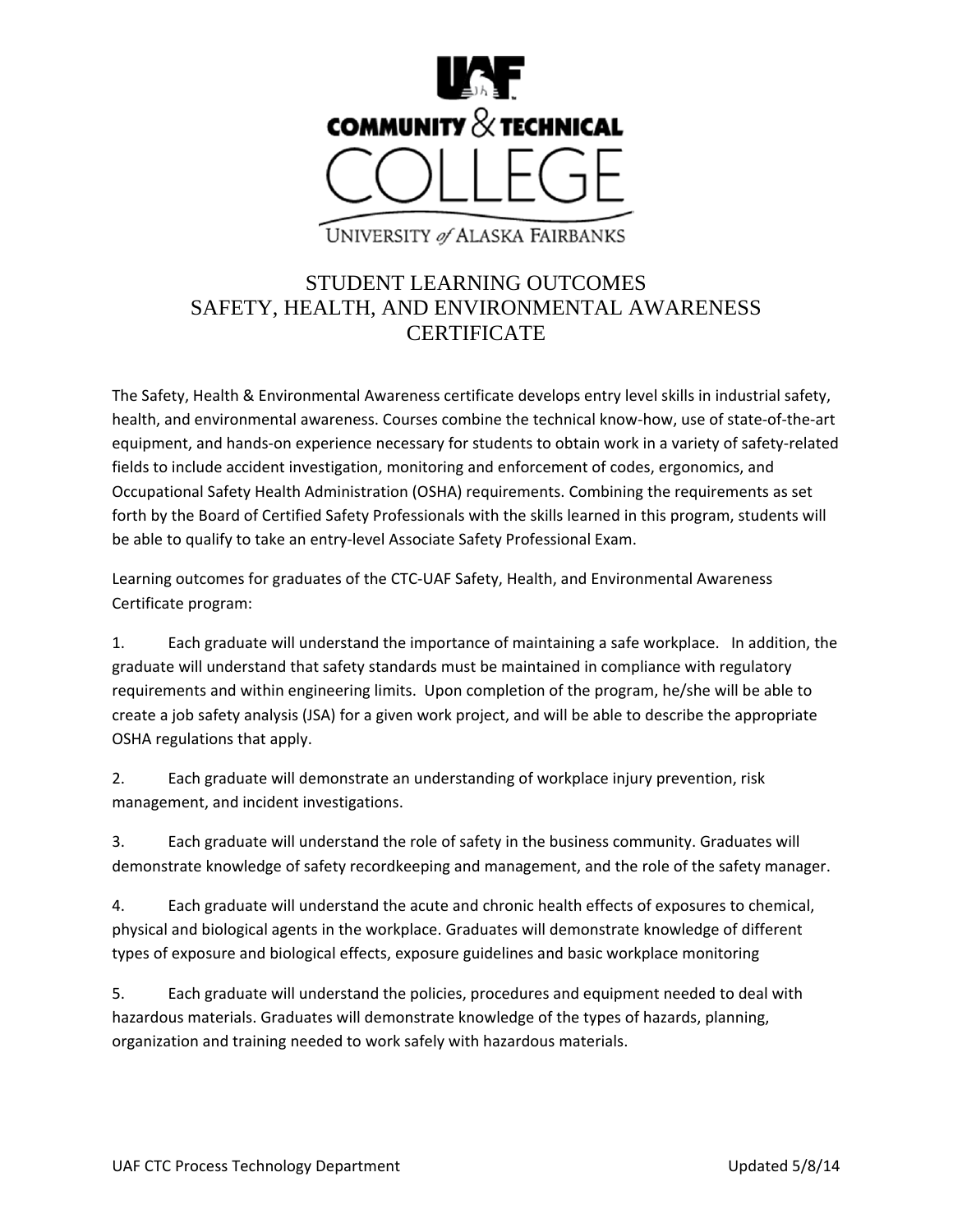

UNIVERSITY of ALASKA FAIRBANKS

## STUDENT LEARNING OUTCOMES SAFETY, HEALTH, AND ENVIRONMENTAL AWARENESS **CERTIFICATE**

The Safety, Health & Environmental Awareness certificate develops entry level skills in industrial safety, health, and environmental awareness. Courses combine the technical know-how, use of state-of-the-art equipment, and hands‐on experience necessary for students to obtain work in a variety of safety‐related fields to include accident investigation, monitoring and enforcement of codes, ergonomics, and Occupational Safety Health Administration (OSHA) requirements. Combining the requirements as set forth by the Board of Certified Safety Professionals with the skills learned in this program, students will be able to qualify to take an entry‐level Associate Safety Professional Exam.

Learning outcomes for graduates of the CTC‐UAF Safety, Health, and Environmental Awareness Certificate program:

1. Each graduate will understand the importance of maintaining a safe workplace. In addition, the graduate will understand that safety standards must be maintained in compliance with regulatory requirements and within engineering limits. Upon completion of the program, he/she will be able to create a job safety analysis (JSA) for a given work project, and will be able to describe the appropriate OSHA regulations that apply.

2. Each graduate will demonstrate an understanding of workplace injury prevention, risk management, and incident investigations.

3. Each graduate will understand the role of safety in the business community. Graduates will demonstrate knowledge of safety recordkeeping and management, and the role of the safety manager.

4. Each graduate will understand the acute and chronic health effects of exposures to chemical, physical and biological agents in the workplace. Graduates will demonstrate knowledge of different types of exposure and biological effects, exposure guidelines and basic workplace monitoring

5. Each graduate will understand the policies, procedures and equipment needed to deal with hazardous materials. Graduates will demonstrate knowledge of the types of hazards, planning, organization and training needed to work safely with hazardous materials.